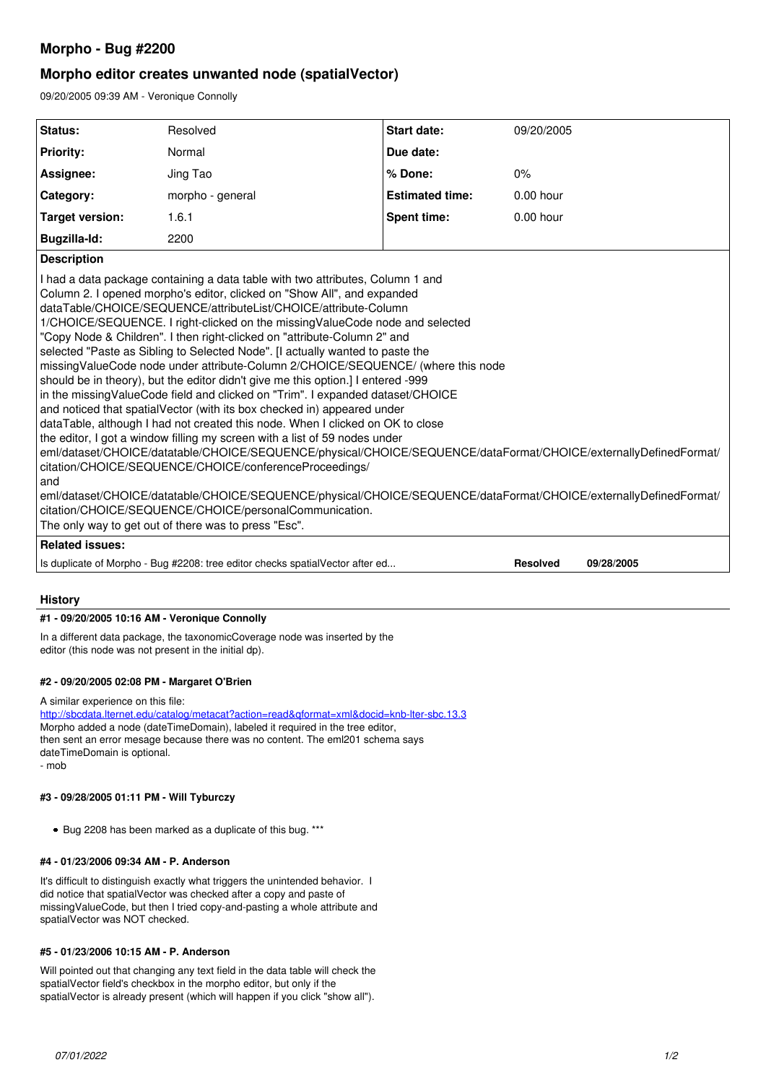# **Morpho - Bug #2200**

# **Morpho editor creates unwanted node (spatialVector)**

09/20/2005 09:39 AM - Veronique Connolly

| Status:                                                                                                                                                                                                                                                                                                                                                                                                                                                                                                                                                                                                                                                                                                                                                                                                                                                                                                                                                                                                                                                                                                                                                                                                                                                                                                                                                                                                                               | Resolved                                                                      | <b>Start date:</b>     | 09/20/2005      |            |
|---------------------------------------------------------------------------------------------------------------------------------------------------------------------------------------------------------------------------------------------------------------------------------------------------------------------------------------------------------------------------------------------------------------------------------------------------------------------------------------------------------------------------------------------------------------------------------------------------------------------------------------------------------------------------------------------------------------------------------------------------------------------------------------------------------------------------------------------------------------------------------------------------------------------------------------------------------------------------------------------------------------------------------------------------------------------------------------------------------------------------------------------------------------------------------------------------------------------------------------------------------------------------------------------------------------------------------------------------------------------------------------------------------------------------------------|-------------------------------------------------------------------------------|------------------------|-----------------|------------|
| <b>Priority:</b>                                                                                                                                                                                                                                                                                                                                                                                                                                                                                                                                                                                                                                                                                                                                                                                                                                                                                                                                                                                                                                                                                                                                                                                                                                                                                                                                                                                                                      | Normal                                                                        | Due date:              |                 |            |
| Assignee:                                                                                                                                                                                                                                                                                                                                                                                                                                                                                                                                                                                                                                                                                                                                                                                                                                                                                                                                                                                                                                                                                                                                                                                                                                                                                                                                                                                                                             | Jing Tao                                                                      | % Done:                | 0%              |            |
| Category:                                                                                                                                                                                                                                                                                                                                                                                                                                                                                                                                                                                                                                                                                                                                                                                                                                                                                                                                                                                                                                                                                                                                                                                                                                                                                                                                                                                                                             | morpho - general                                                              | <b>Estimated time:</b> | $0.00$ hour     |            |
| <b>Target version:</b>                                                                                                                                                                                                                                                                                                                                                                                                                                                                                                                                                                                                                                                                                                                                                                                                                                                                                                                                                                                                                                                                                                                                                                                                                                                                                                                                                                                                                | 1.6.1                                                                         | <b>Spent time:</b>     | $0.00$ hour     |            |
| Bugzilla-Id:                                                                                                                                                                                                                                                                                                                                                                                                                                                                                                                                                                                                                                                                                                                                                                                                                                                                                                                                                                                                                                                                                                                                                                                                                                                                                                                                                                                                                          | 2200                                                                          |                        |                 |            |
| <b>Description</b>                                                                                                                                                                                                                                                                                                                                                                                                                                                                                                                                                                                                                                                                                                                                                                                                                                                                                                                                                                                                                                                                                                                                                                                                                                                                                                                                                                                                                    |                                                                               |                        |                 |            |
| I had a data package containing a data table with two attributes, Column 1 and<br>Column 2. I opened morpho's editor, clicked on "Show All", and expanded<br>dataTable/CHOICE/SEQUENCE/attributeList/CHOICE/attribute-Column<br>1/CHOICE/SEQUENCE. I right-clicked on the missing ValueCode node and selected<br>"Copy Node & Children". I then right-clicked on "attribute-Column 2" and<br>selected "Paste as Sibling to Selected Node". [I actually wanted to paste the<br>missingValueCode node under attribute-Column 2/CHOICE/SEQUENCE/ (where this node<br>should be in theory), but the editor didn't give me this option.] I entered -999<br>in the missing ValueCode field and clicked on "Trim". I expanded dataset/CHOICE<br>and noticed that spatialVector (with its box checked in) appeared under<br>dataTable, although I had not created this node. When I clicked on OK to close<br>the editor, I got a window filling my screen with a list of 59 nodes under<br>eml/dataset/CHOICE/datatable/CHOICE/SEQUENCE/physical/CHOICE/SEQUENCE/dataFormat/CHOICE/externallyDefinedFormat/<br>citation/CHOICE/SEQUENCE/CHOICE/conferenceProceedings/<br>and<br>eml/dataset/CHOICE/datatable/CHOICE/SEQUENCE/physical/CHOICE/SEQUENCE/dataFormat/CHOICE/externallyDefinedFormat/<br>citation/CHOICE/SEQUENCE/CHOICE/personalCommunication.<br>The only way to get out of there was to press "Esc".<br><b>Related issues:</b> |                                                                               |                        |                 |            |
|                                                                                                                                                                                                                                                                                                                                                                                                                                                                                                                                                                                                                                                                                                                                                                                                                                                                                                                                                                                                                                                                                                                                                                                                                                                                                                                                                                                                                                       | Is duplicate of Morpho - Bug #2208: tree editor checks spatialVector after ed |                        | <b>Resolved</b> | 09/28/2005 |
|                                                                                                                                                                                                                                                                                                                                                                                                                                                                                                                                                                                                                                                                                                                                                                                                                                                                                                                                                                                                                                                                                                                                                                                                                                                                                                                                                                                                                                       |                                                                               |                        |                 |            |

## **History**

#### **#1 - 09/20/2005 10:16 AM - Veronique Connolly**

In a different data package, the taxonomicCoverage node was inserted by the editor (this node was not present in the initial dp).

#### **#2 - 09/20/2005 02:08 PM - Margaret O'Brien**

A similar experience on this file:

<http://sbcdata.lternet.edu/catalog/metacat?action=read&qformat=xml&docid=knb-lter-sbc.13.3> Morpho added a node (dateTimeDomain), labeled it required in the tree editor, then sent an error mesage because there was no content. The eml201 schema says dateTimeDomain is optional. - mob

#### **#3 - 09/28/2005 01:11 PM - Will Tyburczy**

• Bug 2208 has been marked as a duplicate of this bug. \*\*\*

#### **#4 - 01/23/2006 09:34 AM - P. Anderson**

It's difficult to distinguish exactly what triggers the unintended behavior. It did notice that spatialVector was checked after a copy and paste of missingValueCode, but then I tried copy-and-pasting a whole attribute and spatialVector was NOT checked.

#### **#5 - 01/23/2006 10:15 AM - P. Anderson**

Will pointed out that changing any text field in the data table will check the spatialVector field's checkbox in the morpho editor, but only if the spatialVector is already present (which will happen if you click "show all").